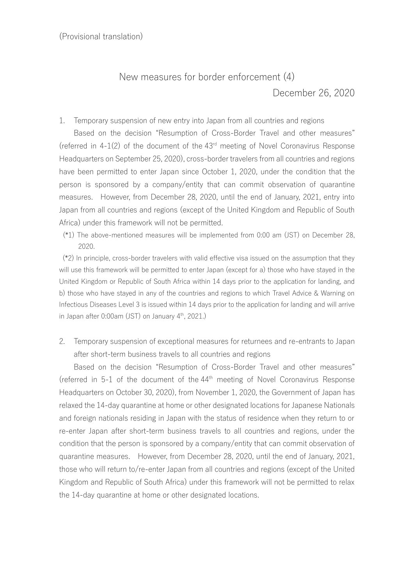## New measures for border enforcement (4) December 26, 2020

1. Temporary suspension of new entry into Japan from all countries and regions

Based on the decision "Resumption of Cross-Border Travel and other measures" (referred in  $4-1(2)$  of the document of the  $43<sup>rd</sup>$  meeting of Novel Coronavirus Response Headquarters on September 25, 2020), cross-border travelers from all countries and regions have been permitted to enter Japan since October 1, 2020, under the condition that the person is sponsored by a company/entity that can commit observation of quarantine measures. However, from December 28, 2020, until the end of January, 2021, entry into Japan from all countries and regions (except of the United Kingdom and Republic of South Africa) under this framework will not be permitted.

(\*1) The above-mentioned measures will be implemented from 0:00 am (JST) on December 28, 2020.

(\*2) In principle, cross-border travelers with valid effective visa issued on the assumption that they will use this framework will be permitted to enter Japan (except for a) those who have stayed in the United Kingdom or Republic of South Africa within 14 days prior to the application for landing, and b) those who have stayed in any of the countries and regions to which Travel Advice & Warning on Infectious Diseases Level 3 is issued within 14 days prior to the application for landing and will arrive in Japan after  $0.00$ am (JST) on January  $4<sup>th</sup>$ , 2021.)

2. Temporary suspension of exceptional measures for returnees and re-entrants to Japan after short-term business travels to all countries and regions

Based on the decision "Resumption of Cross-Border Travel and other measures" (referred in 5-1 of the document of the  $44<sup>th</sup>$  meeting of Novel Coronavirus Response Headquarters on October 30, 2020), from November 1, 2020, the Government of Japan has relaxed the 14-day quarantine at home or other designated locations for Japanese Nationals and foreign nationals residing in Japan with the status of residence when they return to or re-enter Japan after short-term business travels to all countries and regions, under the condition that the person is sponsored by a company/entity that can commit observation of quarantine measures. However, from December 28, 2020, until the end of January, 2021, those who will return to/re-enter Japan from all countries and regions (except of the United Kingdom and Republic of South Africa) under this framework will not be permitted to relax the 14-day quarantine at home or other designated locations.